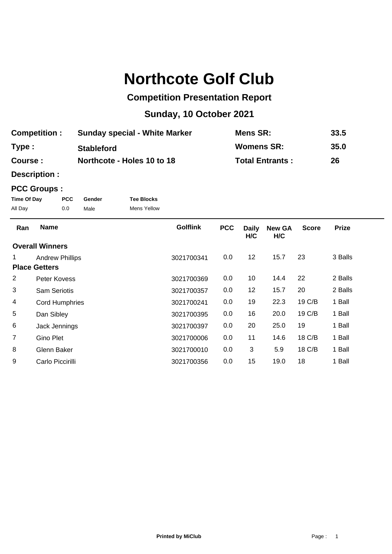## **Northcote Golf Club**

## **Competition Presentation Report**

## **Sunday, 10 October 2021**

| <b>Competition:</b> | <b>Sunday special - White Marker</b> | Mens SR:               | 33.5 |
|---------------------|--------------------------------------|------------------------|------|
| Type:               | <b>Stableford</b>                    | <b>Womens SR:</b>      | 35.0 |
| <b>Course :</b>     | Northcote - Holes 10 to 18           | <b>Total Entrants:</b> | 26   |

**Description :**

## **PCC Groups :**

| Time Of Day | <b>PCC</b> | Gender | <b>Tee Blocks</b> |
|-------------|------------|--------|-------------------|
| All Day     | 0.0        | Male   | Mens Yellow       |

| Ran                  | <b>Name</b>            | <b>Golflink</b> | <b>PCC</b> | <b>Daily</b><br>H/C | <b>New GA</b><br>H/C | <b>Score</b> | <b>Prize</b> |
|----------------------|------------------------|-----------------|------------|---------------------|----------------------|--------------|--------------|
|                      | <b>Overall Winners</b> |                 |            |                     |                      |              |              |
|                      | <b>Andrew Phillips</b> | 3021700341      | 0.0        | 12                  | 15.7                 | 23           | 3 Balls      |
| <b>Place Getters</b> |                        |                 |            |                     |                      |              |              |
| 2                    | Peter Kovess           | 3021700369      | 0.0        | 10                  | 14.4                 | 22           | 2 Balls      |
| 3                    | <b>Sam Seriotis</b>    | 3021700357      | 0.0        | 12                  | 15.7                 | 20           | 2 Balls      |
| 4                    | <b>Cord Humphries</b>  | 3021700241      | 0.0        | 19                  | 22.3                 | 19 C/B       | 1 Ball       |
| 5                    | Dan Sibley             | 3021700395      | 0.0        | 16                  | 20.0                 | 19 C/B       | 1 Ball       |
| 6                    | Jack Jennings          | 3021700397      | 0.0        | 20                  | 25.0                 | 19           | 1 Ball       |
| $\overline{7}$       | Gino Plet              | 3021700006      | 0.0        | 11                  | 14.6                 | 18 C/B       | 1 Ball       |
| 8                    | Glenn Baker            | 3021700010      | 0.0        | 3                   | 5.9                  | 18 C/B       | 1 Ball       |
| 9                    | Carlo Piccirilli       | 3021700356      | 0.0        | 15                  | 19.0                 | 18           | 1 Ball       |